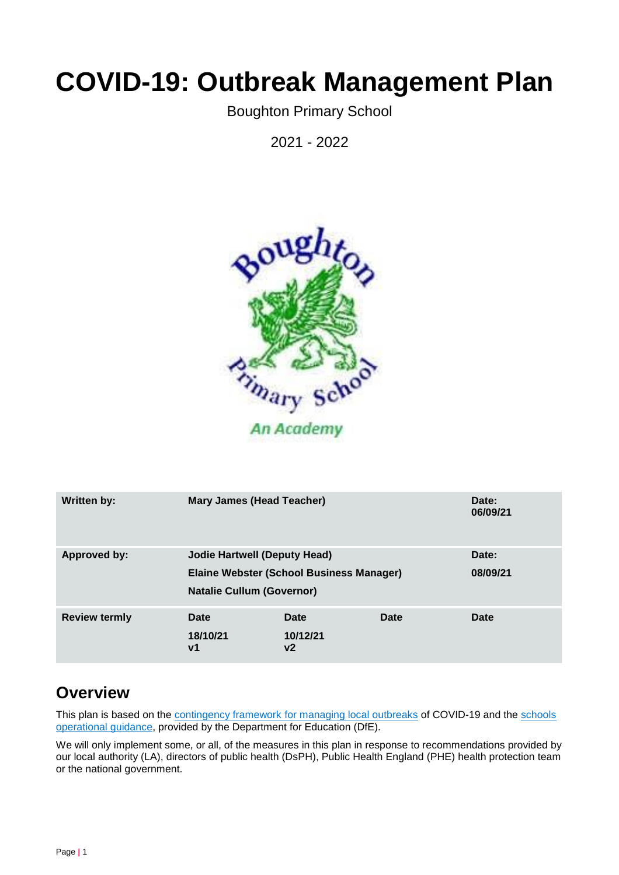# **COVID-19: Outbreak Management Plan**

Boughton Primary School

2021 - 2022



| <b>Written by:</b>   | <b>Mary James (Head Teacher)</b>                                                                                           |                        |      | Date:<br>06/09/21 |
|----------------------|----------------------------------------------------------------------------------------------------------------------------|------------------------|------|-------------------|
| <b>Approved by:</b>  | <b>Jodie Hartwell (Deputy Head)</b><br><b>Elaine Webster (School Business Manager)</b><br><b>Natalie Cullum (Governor)</b> |                        |      | Date:<br>08/09/21 |
| <b>Review termly</b> | Date<br>18/10/21<br>$\mathsf{v}$ 1                                                                                         | Date<br>10/12/21<br>v2 | Date | Date              |

## **Overview**

This plan is based on the contingency framework [for managing local outbreaks](https://www.gov.uk/government/publications/coronavirus-covid-19-local-restrictions-in-education-and-childcare-settings) of COVID-19 and the schools [operational guidance,](https://www.gov.uk/government/publications/actions-for-schools-during-the-coronavirus-outbreak) provided by the Department for Education (DfE).

We will only implement some, or all, of the measures in this plan in response to recommendations provided by our local authority (LA), directors of public health (DsPH), Public Health England (PHE) health protection team or the national government.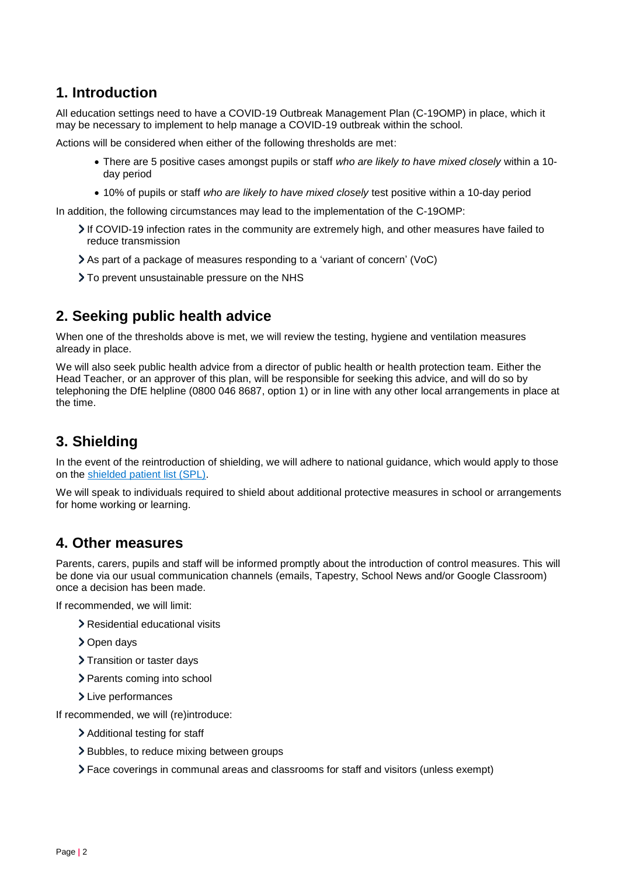## **1. Introduction**

All education settings need to have a COVID-19 Outbreak Management Plan (C-19OMP) in place, which it may be necessary to implement to help manage a COVID-19 outbreak within the school.

Actions will be considered when either of the following thresholds are met:

- There are 5 positive cases amongst pupils or staff *who are likely to have mixed closely* within a 10 day period
- 10% of pupils or staff *who are likely to have mixed closely* test positive within a 10-day period

In addition, the following circumstances may lead to the implementation of the C-19OMP:

- If COVID-19 infection rates in the community are extremely high, and other measures have failed to reduce transmission
- As part of a package of measures responding to a 'variant of concern' (VoC)
- > To prevent unsustainable pressure on the NHS

## **2. Seeking public health advice**

When one of the thresholds above is met, we will review the testing, hygiene and ventilation measures already in place.

We will also seek public health advice from a director of public health or health protection team. Either the Head Teacher, or an approver of this plan, will be responsible for seeking this advice, and will do so by telephoning the DfE helpline (0800 046 8687, option 1) or in line with any other local arrangements in place at the time.

## **3. Shielding**

In the event of the reintroduction of shielding, we will adhere to national guidance, which would apply to those on the shielded [patient list \(SPL\).](https://digital.nhs.uk/coronavirus/shielded-patient-list)

We will speak to individuals required to shield about additional protective measures in school or arrangements for home working or learning.

#### **4. Other measures**

Parents, carers, pupils and staff will be informed promptly about the introduction of control measures. This will be done via our usual communication channels (emails, Tapestry, School News and/or Google Classroom) once a decision has been made.

If recommended, we will limit:

- > Residential educational visits
- > Open days
- > Transition or taster days
- > Parents coming into school
- > Live performances

If recommended, we will (re)introduce:

- > Additional testing for staff
- > Bubbles, to reduce mixing between groups
- Face coverings in communal areas and classrooms for staff and visitors (unless exempt)